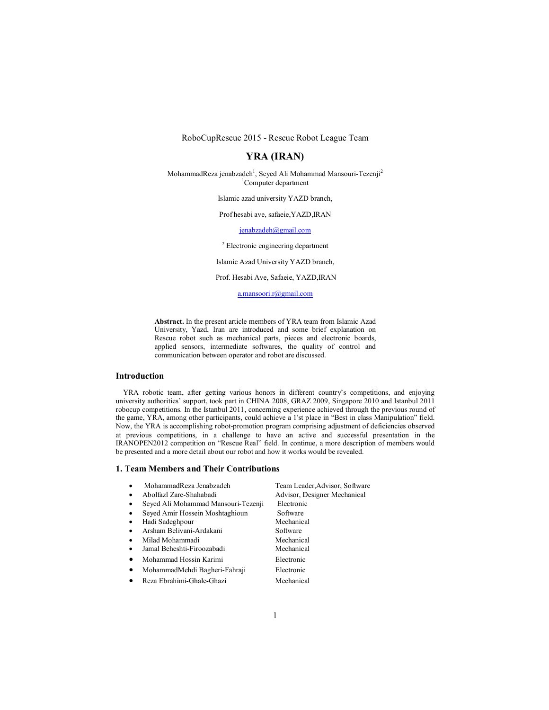RoboCupRescue 2015 - Rescue Robot League Team

## **YRA (IRAN)**

MohammadReza jenabzadeh<sup>1</sup>, Seyed Ali Mohammad Mansouri-Tezenji<sup>2</sup> 1 Computer department

Islamic azad university YAZD branch,

Prof hesabi ave, safaeie,YAZD,IRAN

jenabzadeh@gmail.com

<sup>2</sup> Electronic engineering department

Islamic Azad University YAZD branch,

Prof. Hesabi Ave, Safaeie, YAZD,IRAN

a.mansoori.r@gmail.com

**Abstract.** In the present article members of YRA team from Islamic Azad University, Yazd, Iran are introduced and some brief explanation on Rescue robot such as mechanical parts, pieces and electronic boards, applied sensors, intermediate softwares, the quality of control and communication between operator and robot are discussed.

### **Introduction**

YRA robotic team, after getting various honors in different country's competitions, and enjoying university authorities' support, took part in CHINA 2008, GRAZ 2009, Singapore 2010 and Istanbul 2011 robocup competitions. In the Istanbul 2011, concerning experience achieved through the previous round of the game, YRA, among other participants, could achieve a 1'st place in "Best in class Manipulation" field. Now, the YRA is accomplishing robot-promotion program comprising adjustment of deficiencies observed at previous competitions, in a challenge to have an active and successful presentation in the IRANOPEN2012 competition on "Rescue Real" field. In continue, a more description of members would be presented and a more detail about our robot and how it works would be revealed.

#### **1. Team Members and Their Contributions**

| MohammadReza Jenabzadeh<br>$\bullet$             | Team Leader, Advisor, Software |
|--------------------------------------------------|--------------------------------|
| Abolfazl Zare-Shahabadi<br>$\bullet$             | Advisor, Designer Mechanical   |
| Seyed Ali Mohammad Mansouri-Tezenji<br>$\bullet$ | Electronic                     |
| Seyed Amir Hossein Moshtaghioun<br>$\bullet$     | Software                       |
| Hadi Sadeghpour<br>$\bullet$                     | Mechanical                     |
| Arsham Belivani-Ardakani<br>$\bullet$            | Software                       |
| Milad Mohammadi<br>$\bullet$                     | Mechanical                     |
| Jamal Beheshti-Firoozabadi<br>$\bullet$          | Mechanical                     |
| Mohammad Hossin Karimi<br>٠                      | Electronic                     |
| MohammadMehdi Bagheri-Fahraji<br>٠               | Electronic                     |
| Reza Ebrahimi-Ghale-Ghazi<br>$\bullet$           | Mechanical                     |
|                                                  |                                |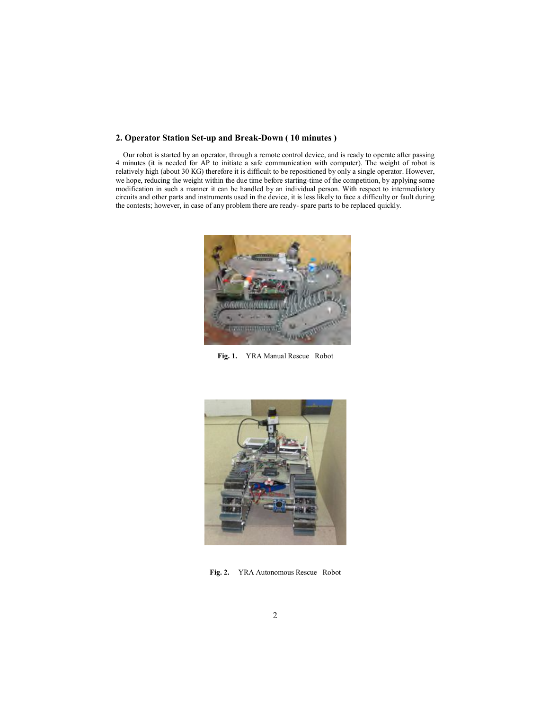### **2. Operator Station Set-up and Break-Down ( 10 minutes )**

Our robot is started by an operator, through a remote control device, and is ready to operate after passing 4 minutes (it is needed for AP to initiate a safe communication with computer). The weight of robot is relatively high (about 30 KG) therefore it is difficult to be repositioned by only a single operator. However, we hope, reducing the weight within the due time before starting-time of the competition, by applying some modification in such a manner it can be handled by an individual person. With respect to intermediatory circuits and other parts and instruments used in the device, it is less likely to face a difficulty or fault during the contests; however, in case of any problem there are ready- spare parts to be replaced quickly.



**Fig. 1.** YRA Manual Rescue Robot



**Fig. 2.** YRA Autonomous Rescue Robot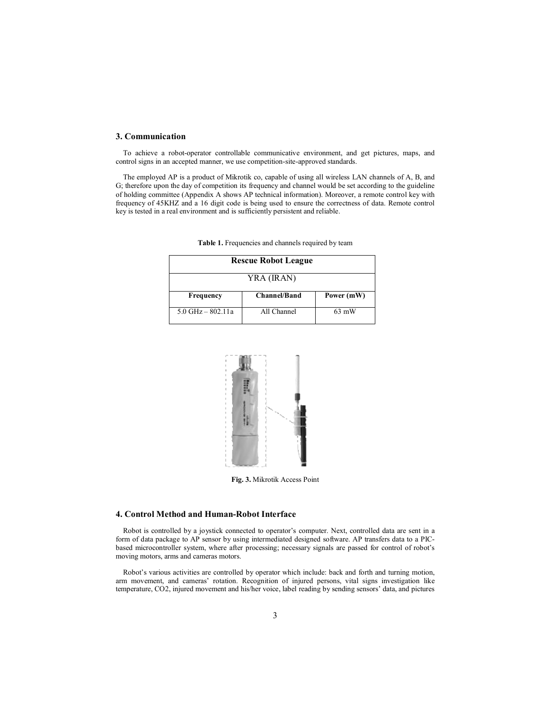#### **3. Communication**

To achieve a robot-operator controllable communicative environment, and get pictures, maps, and control signs in an accepted manner, we use competition-site-approved standards.

The employed AP is a product of Mikrotik co, capable of using all wireless LAN channels of A, B, and G; therefore upon the day of competition its frequency and channel would be set according to the guideline of holding committee (Appendix A shows AP technical information). Moreover, a remote control key with frequency of 45KHZ and a 16 digit code is being used to ensure the correctness of data. Remote control key is tested in a real environment and is sufficiently persistent and reliable.

| <b>Rescue Robot League</b><br>YRA (IRAN) |             |                 |  |
|------------------------------------------|-------------|-----------------|--|
|                                          |             |                 |  |
| $5.0$ GHz $-$ 802.11a                    | All Channel | $63 \text{ mW}$ |  |

**Table 1.** Frequencies and channels required by team



**Fig. 3.** Mikrotik Access Point

# **4. Control Method and Human-Robot Interface**

Robot is controlled by a joystick connected to operator's computer. Next, controlled data are sent in a form of data package to AP sensor by using intermediated designed software. AP transfers data to a PICbased microcontroller system, where after processing; necessary signals are passed for control of robot's moving motors, arms and cameras motors.

Robot's various activities are controlled by operator which include: back and forth and turning motion, arm movement, and cameras' rotation. Recognition of injured persons, vital signs investigation like temperature, CO2, injured movement and his/her voice, label reading by sending sensors' data, and pictures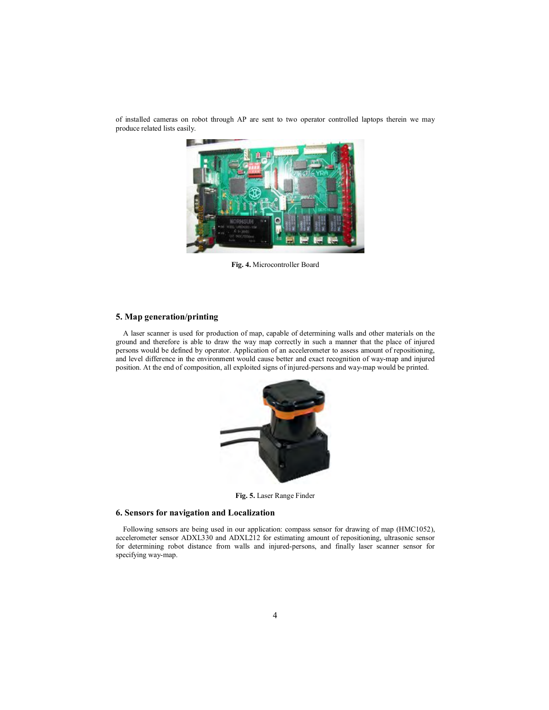

of installed cameras on robot through AP are sent to two operator controlled laptops therein we may produce related lists easily.

**Fig. 4.** Microcontroller Board

#### **5. Map generation/printing**

A laser scanner is used for production of map, capable of determining walls and other materials on the ground and therefore is able to draw the way map correctly in such a manner that the place of injured persons would be defined by operator. Application of an accelerometer to assess amount of repositioning, and level difference in the environment would cause better and exact recognition of way-map and injured position. At the end of composition, all exploited signs of injured-persons and way-map would be printed.



**Fig. 5.** Laser Range Finder

## **6. Sensors for navigation and Localization**

Following sensors are being used in our application: compass sensor for drawing of map (HMC1052), accelerometer sensor ADXL330 and ADXL212 for estimating amount of repositioning, ultrasonic sensor for determining robot distance from walls and injured-persons, and finally laser scanner sensor for specifying way-map.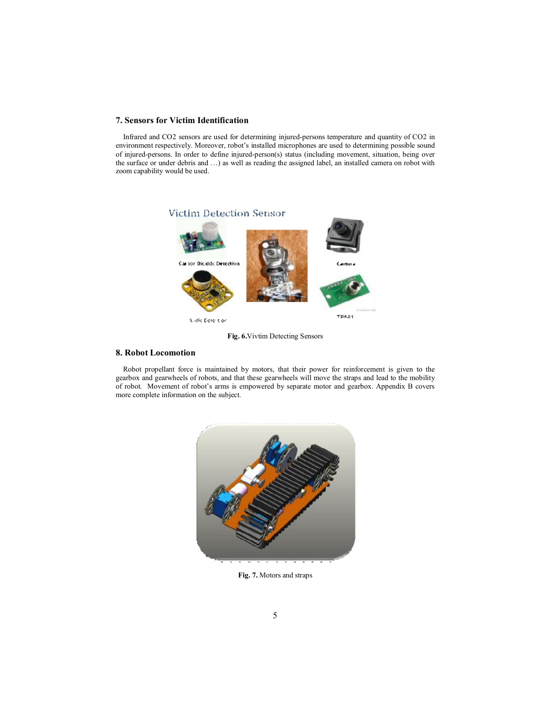### **7. Sensors for Victim Identification**

Infrared and CO2 sensors are used for determining injured-persons temperature and quantity of CO2 in environment respectively. Moreover, robot's installed microphones are used to determining possible sound of injured-persons. In order to define injured-person(s) status (including movement, situation, being over the surface or under debris and …) as well as reading the assigned label, an installed camera on robot with zoom capability would be used.



**Fig. 6.**Vivtim Detecting Sensors

### **8. Robot Locomotion**

Robot propellant force is maintained by motors, that their power for reinforcement is given to the gearbox and gearwheels of robots, and that these gearwheels will move the straps and lead to the mobility of robot. Movement of robot's arms is empowered by separate motor and gearbox. Appendix B covers more complete information on the subject.



**Fig. 7.** Motors and straps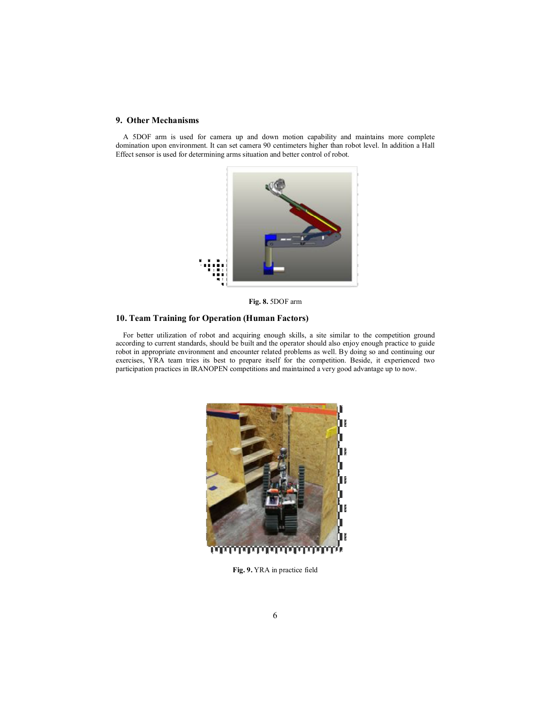### **9. Other Mechanisms**

A 5DOF arm is used for camera up and down motion capability and maintains more complete domination upon environment. It can set camera 90 centimeters higher than robot level. In addition a Hall Effect sensor is used for determining arms situation and better control of robot.



**Fig. 8.** 5DOF arm

### **10. Team Training for Operation (Human Factors)**

For better utilization of robot and acquiring enough skills, a site similar to the competition ground according to current standards, should be built and the operator should also enjoy enough practice to guide robot in appropriate environment and encounter related problems as well. By doing so and continuing our exercises, YRA team tries its best to prepare itself for the competition. Beside, it experienced two participation practices in IRANOPEN competitions and maintained a very good advantage up to now.



**Fig. 9.** YRA in practice field